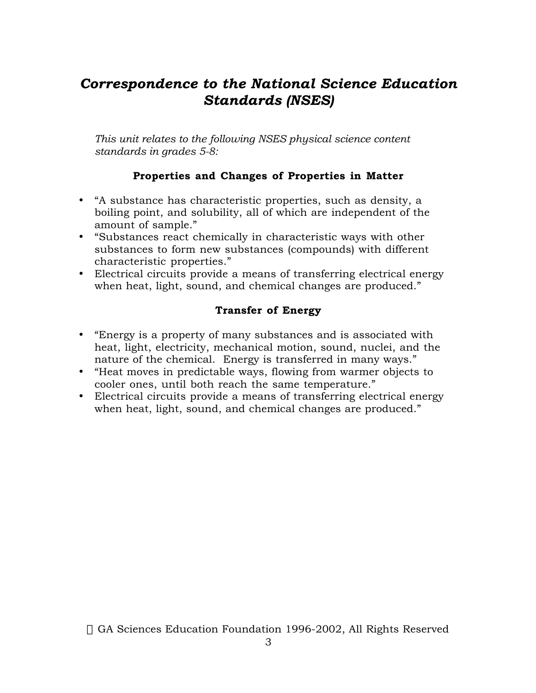# *Correspondence to the National Science Education Standards (NSES)*

*This unit relates to the following NSES physical science content standards in grades 5-8:*

## **Properties and Changes of Properties in Matter**

"A substance has characteristic properties, such as density, a boiling point, and solubility, all of which are independent of the amount of sample."

"Substances react chemically in characteristic ways with other substances to form new substances (compounds) with different characteristic properties."

Electrical circuits provide a means of transferring electrical energy when heat, light, sound, and chemical changes are produced."

## **Transfer of Energy**

"Energy is a property of many substances and is associated with heat, light, electricity, mechanical motion, sound, nuclei, and the nature of the chemical. Energy is transferred in many ways." "Heat moves in predictable ways, flowing from warmer objects to cooler ones, until both reach the same temperature." Electrical circuits provide a means of transferring electrical energy when heat, light, sound, and chemical changes are produced."